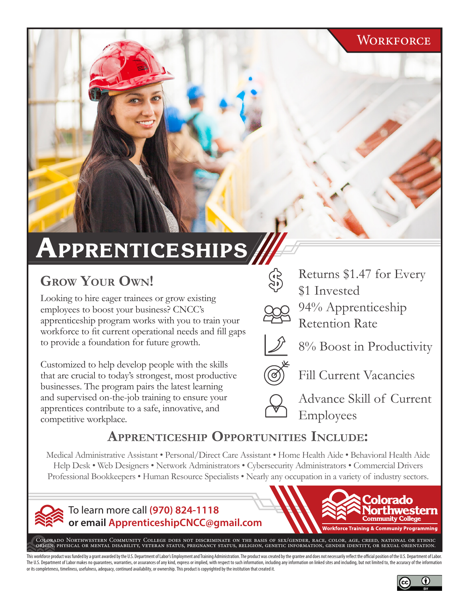#### **WORKFORCE**

# **Apprenticeships**

# **Grow Your own!**

Looking to hire eager trainees or grow existing employees to boost your business? CNCC's apprenticeship program works with you to train your workforce to fit current operational needs and fill gaps to provide a foundation for future growth.

Customized to help develop people with the skills that are crucial to today's strongest, most productive businesses. The program pairs the latest learning and supervised on-the-job training to ensure your apprentices contribute to a safe, innovative, and competitive workplace.



Returns \$1.47 for Every \$1 Invested

94% Apprenticeship Retention Rate



8% Boost in Productivity



Advance Skill of Current Employees

### **apprentiCesHip opportunities inClude:**

Medical Administrative Assistant • Personal/Direct Care Assistant • Home Health Aide • Behavioral Health Aide Help Desk • Web Designers • Network Administrators • Cybersecurity Administrators • Commercial Drivers Professional Bookkeepers • Human Resource Specialists • Nearly any occupation in a variety of industry sectors.



To learn more call **(970) 824-1118 or email ApprenticeshipCNCC@gmail.com**



Colorado Northwestern Community College does not discriminate on the basis of sex/gender, race, color, age, creed, national or ethnic origin, physical or mental disability, veteran status, pregnancy status, religion, genetic information, gender identity, or sexual orientation.

This workforce product was funded by a grant awarded by the U.S. Department of Labor's Employment and Training Administration. The product was created by the grantee and does not necessarily reflect the official position o The U.S. Department of Labor makes no quarantees, warranties, or assurances of any kind, express or implied, with respect to such information, including any information on linked sites and including, but not limited to, th or its completeness, timeliness, usefulness, adequacy, continued availability, or ownership. This product is copyrighted by the institution that created it.